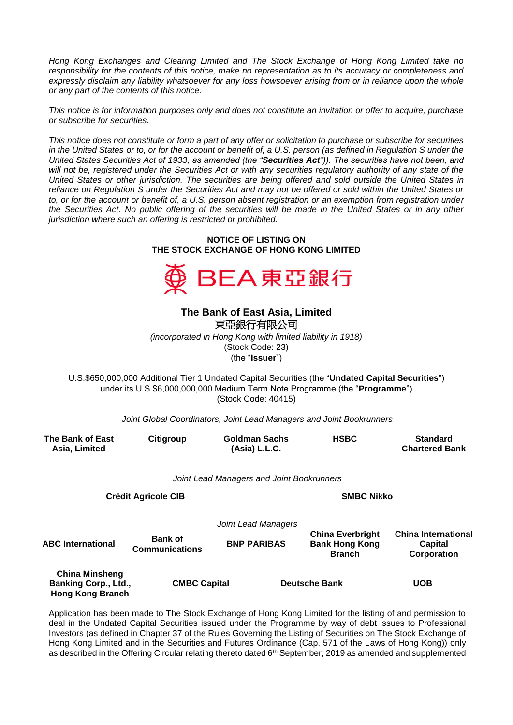*Hong Kong Exchanges and Clearing Limited and The Stock Exchange of Hong Kong Limited take no responsibility for the contents of this notice, make no representation as to its accuracy or completeness and*  expressly disclaim any liability whatsoever for any loss howsoever arising from or in reliance upon the whole *or any part of the contents of this notice.*

*This notice is for information purposes only and does not constitute an invitation or offer to acquire, purchase or subscribe for securities.*

*This notice does not constitute or form a part of any offer or solicitation to purchase or subscribe for securities in the United States or to, or for the account or benefit of, a U.S. person (as defined in Regulation S under the United States Securities Act of 1933, as amended (the "Securities Act")). The securities have not been, and*  will not be, registered under the Securities Act or with any securities regulatory authority of any state of the *United States or other jurisdiction. The securities are being offered and sold outside the United States in reliance on Regulation S under the Securities Act and may not be offered or sold within the United States or to, or for the account or benefit of, a U.S. person absent registration or an exemption from registration under the Securities Act. No public offering of the securities will be made in the United States or in any other jurisdiction where such an offering is restricted or prohibited.*

## **NOTICE OF LISTING ON THE STOCK EXCHANGE OF HONG KONG LIMITED**



## **The Bank of East Asia, Limited**  東亞銀行有限公司

*(incorporated in Hong Kong with limited liability in 1918)* (Stock Code: 23) (the "**Issuer**")

U.S.\$650,000,000 Additional Tier 1 Undated Capital Securities (the "**Undated Capital Securities**") under its U.S.\$6,000,000,000 Medium Term Note Programme (the "**Programme**") (Stock Code: 40415)

*Joint Global Coordinators, Joint Lead Managers and Joint Bookrunners*

| The Bank of East<br>Asia, Limited                                        | Citigroup                               | <b>Goldman Sachs</b><br>(Asia) L.L.C.     | <b>HSBC</b>                                                       | <b>Standard</b><br><b>Chartered Bank</b>                    |  |
|--------------------------------------------------------------------------|-----------------------------------------|-------------------------------------------|-------------------------------------------------------------------|-------------------------------------------------------------|--|
|                                                                          |                                         | Joint Lead Managers and Joint Bookrunners |                                                                   |                                                             |  |
|                                                                          | <b>Crédit Agricole CIB</b>              |                                           | <b>SMBC Nikko</b>                                                 |                                                             |  |
|                                                                          |                                         | Joint Lead Managers                       |                                                                   |                                                             |  |
| <b>ABC International</b>                                                 | <b>Bank of</b><br><b>Communications</b> | <b>BNP PARIBAS</b>                        | <b>China Everbright</b><br><b>Bank Hong Kong</b><br><b>Branch</b> | <b>China International</b><br><b>Capital</b><br>Corporation |  |
| <b>China Minsheng</b><br>Banking Corp., Ltd.,<br><b>Hong Kong Branch</b> | <b>CMBC Capital</b>                     |                                           | <b>Deutsche Bank</b>                                              | <b>UOB</b>                                                  |  |

Application has been made to The Stock Exchange of Hong Kong Limited for the listing of and permission to deal in the Undated Capital Securities issued under the Programme by way of debt issues to Professional Investors (as defined in Chapter 37 of the Rules Governing the Listing of Securities on The Stock Exchange of Hong Kong Limited and in the Securities and Futures Ordinance (Cap. 571 of the Laws of Hong Kong)) only as described in the Offering Circular relating thereto dated 6<sup>th</sup> September, 2019 as amended and supplemented